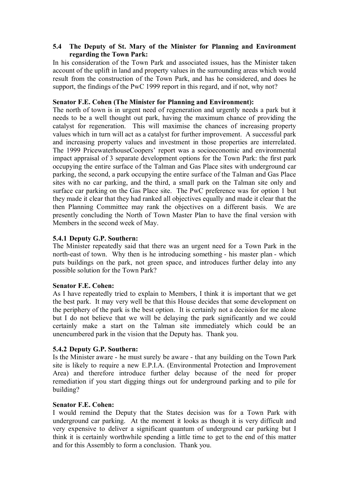## **5.4** � **The Deputy of St. Mary of the Minister for Planning and Environment regarding the Town Park:**

In his consideration of the Town Park and associated issues, has the Minister taken account of the uplift in land and property values in the surrounding areas which would result from the construction of the Town Park, and has he considered, and does he support, the findings of the PwC 1999 report in this regard, and if not, why not?

## **Senator F.E. Cohen (The Minister for Planning and Environment):**

The north of town is in urgent need of regeneration and urgently needs a park but it needs to be a well thought out park, having the maximum chance of providing the catalyst for regeneration. This will maximise the chances of increasing property values which in turn will act as a catalyst for further improvement. A successful park and increasing property values and investment in those properties are interrelated. The 1999 PricewaterhouseCoopers' report was a socioeconomic and environmental impact appraisal of 3 separate development options for the Town Park: the first park occupying the entire surface of the Talman and Gas Place sites with underground car parking, the second, a park occupying the entire surface of the Talman and Gas Place sites with no car parking, and the third, a small park on the Talman site only and surface car parking on the Gas Place site. The PwC preference was for option 1 but they made it clear that they had ranked all objectives equally and made it clear that the then Planning Committee may rank the objectives on a different basis. We are presently concluding the North of Town Master Plan to have the final version with Members in the second week of May.

## **5.4.1 Deputy G.P. Southern:**

The Minister repeatedly said that there was an urgent need for a Town Park in the north-east of town. Why then is he introducing something - his master plan - which puts buildings on the park, not green space, and introduces further delay into any possible solution for the Town Park?

### **Senator F.E. Cohen:**

As I have repeatedly tried to explain to Members, I think it is important that we get the best park. It may very well be that this House decides that some development on the periphery of the park is the best option. It is certainly not a decision for me alone but I do not believe that we will be delaying the park significantly and we could certainly make a start on the Talman site immediately which could be an unencumbered park in the vision that the Deputy has. Thank you.

### **5.4.2 Deputy G.P. Southern:**

Is the Minister aware - he must surely be aware - that any building on the Town Park site is likely to require a new E.P.I.A. (Environmental Protection and Improvement Area) and therefore introduce further delay because of the need for proper remediation if you start digging things out for underground parking and to pile for building?

### **Senator F.E. Cohen:**

I would remind the Deputy that the States decision was for a Town Park with underground car parking. At the moment it looks as though it is very difficult and very expensive to deliver a significant quantum of underground car parking but I think it is certainly worthwhile spending a little time to get to the end of this matter and for this Assembly to form a conclusion. Thank you.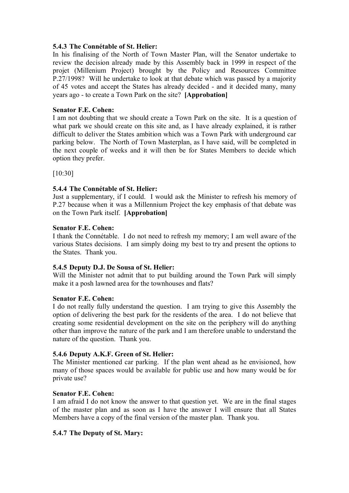### **5.4.3 The Connétable of St. Helier:**

In his finalising of the North of Town Master Plan, will the Senator undertake to review the decision already made by this Assembly back in 1999 in respect of the projet (Millenium Project) brought by the Policy and Resources Committee P.27/1998? Will he undertake to look at that debate which was passed by a majority of 45 votes and accept the States has already decided - and it decided many, many years ago - to create a Town Park on the site? **[Approbation]** 

## **Senator F.E. Cohen:**

I am not doubting that we should create a Town Park on the site. It is a question of what park we should create on this site and, as I have already explained, it is rather difficult to deliver the States ambition which was a Town Park with underground car parking below. The North of Town Masterplan, as I have said, will be completed in the next couple of weeks and it will then be for States Members to decide which option they prefer.

[10:30]

# **5.4.4 The Connétable of St. Helier:**

Just a supplementary, if I could. I would ask the Minister to refresh his memory of P.27 because when it was a Millennium Project the key emphasis of that debate was on the Town Park itself. **[Approbation]** 

### **Senator F.E. Cohen:**

I thank the Connétable. I do not need to refresh my memory; I am well aware of the various States decisions. I am simply doing my best to try and present the options to the States. Thank you.

### **5.4.5 Deputy D.J. De Sousa of St. Helier:**

Will the Minister not admit that to put building around the Town Park will simply make it a posh lawned area for the townhouses and flats?

### **Senator F.E. Cohen:**

I do not really fully understand the question. I am trying to give this Assembly the option of delivering the best park for the residents of the area. I do not believe that creating some residential development on the site on the periphery will do anything other than improve the nature of the park and I am therefore unable to understand the nature of the question. Thank you.

### **5.4.6 Deputy A.K.F. Green of St. Helier:**

The Minister mentioned car parking. If the plan went ahead as he envisioned, how many of those spaces would be available for public use and how many would be for private use?

# **Senator F.E. Cohen:**

I am afraid I do not know the answer to that question yet. We are in the final stages of the master plan and as soon as I have the answer I will ensure that all States Members have a copy of the final version of the master plan. Thank you.

### **5.4.7 The Deputy of St. Mary:**